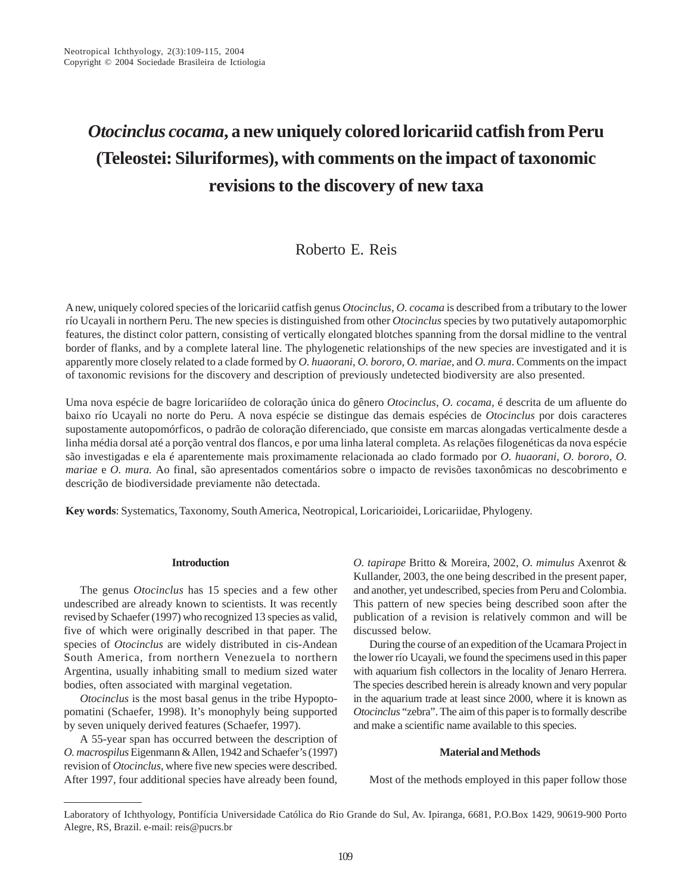# *Otocinclus cocama***, a new uniquely colored loricariid catfish from Peru (Teleostei: Siluriformes), with comments on the impact of taxonomic revisions to the discovery of new taxa**

## Roberto E. Reis

A new, uniquely colored species of the loricariid catfish genus *Otocinclus*, *O. cocama* is described from a tributary to the lower río Ucayali in northern Peru. The new species is distinguished from other *Otocinclus* species by two putatively autapomorphic features, the distinct color pattern, consisting of vertically elongated blotches spanning from the dorsal midline to the ventral border of flanks, and by a complete lateral line. The phylogenetic relationships of the new species are investigated and it is apparently more closely related to a clade formed by *O. huaorani*, *O. bororo*, *O. mariae*, and *O. mura*. Comments on the impact of taxonomic revisions for the discovery and description of previously undetected biodiversity are also presented.

species of the loricariid catfish genus *Otocinclus*, *O. cocama* is described fr<br>eru. The new species is distinguished from other *Otocinclus* species by two<br>propertier, consisting of vertically elongated bloches spanning Uma nova espécie de bagre loricariídeo de coloração única do gênero *Otocinclus*, *O. cocama*, é descrita de um afluente do baixo río Ucayali no norte do Peru. A nova espécie se distingue das demais espécies de *Otocinclus* por dois caracteres supostamente autopomórficos, o padrão de coloração diferenciado, que consiste em marcas alongadas verticalmente desde a linha média dorsal até a porção ventral dos flancos, e por uma linha lateral completa. As relações filogenéticas da nova espécie são investigadas e ela é aparentemente mais proximamente relacionada ao clado formado por *O. huaorani*, *O. bororo*, *O. mariae* e *O. mura.* Ao final, são apresentados comentários sobre o impacto de revisões taxonômicas no descobrimento e descrição de biodiversidade previamente não detectada.

**Key words**: Systematics, Taxonomy, South America, Neotropical, Loricarioidei, Loricariidae, Phylogeny.

### **Introduction**

The genus *Otocinclus* has 15 species and a few other undescribed are already known to scientists. It was recently revised by Schaefer (1997) who recognized 13 species as valid, five of which were originally described in that paper. The species of *Otocinclus* are widely distributed in cis-Andean South America, from northern Venezuela to northern Argentina, usually inhabiting small to medium sized water bodies, often associated with marginal vegetation.

*Otocinclus* is the most basal genus in the tribe Hypoptopomatini (Schaefer, 1998). It's monophyly being supported by seven uniquely derived features (Schaefer, 1997).

A 55-year span has occurred between the description of *O. macrospilus* Eigenmann & Allen, 1942 and Schaefer's (1997) revision of *Otocinclus*, where five new species were described. After 1997, four additional species have already been found, *O. tapirape* Britto & Moreira, 2002, *O. mimulus* Axenrot & Kullander, 2003, the one being described in the present paper, and another, yet undescribed, species from Peru and Colombia. This pattern of new species being described soon after the publication of a revision is relatively common and will be discussed below.

During the course of an expedition of the Ucamara Project in the lower río Ucayali, we found the specimens used in this paper with aquarium fish collectors in the locality of Jenaro Herrera. The species described herein is already known and very popular in the aquarium trade at least since 2000, where it is known as *Otocinclus* "zebra". The aim of this paper is to formally describe and make a scientific name available to this species.

## **Material and Methods**

Most of the methods employed in this paper follow those

Laboratory of Ichthyology, Pontifícia Universidade Católica do Rio Grande do Sul, Av. Ipiranga, 6681, P.O.Box 1429, 90619-900 Porto Alegre, RS, Brazil. e-mail: reis@pucrs.br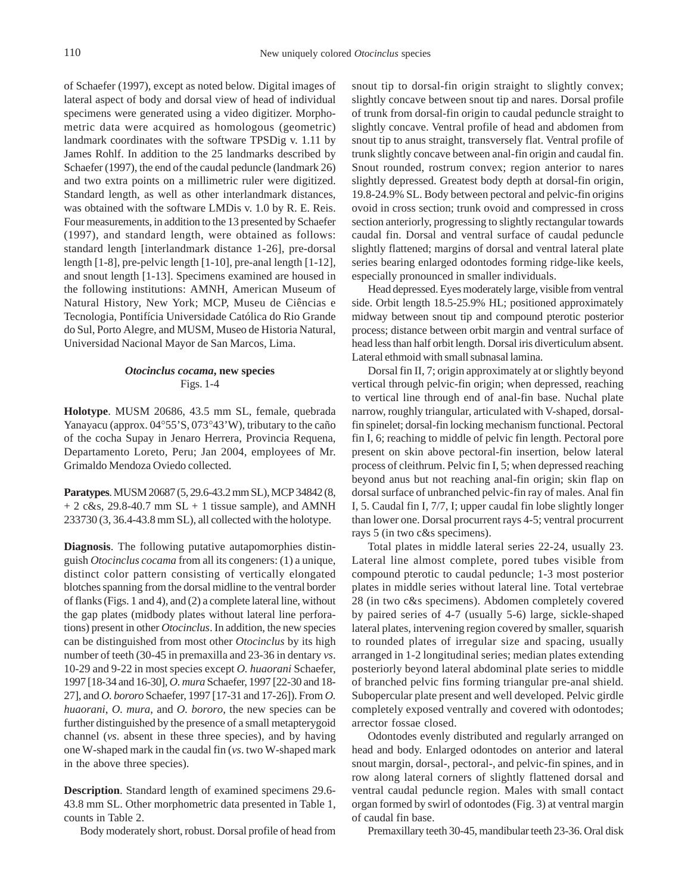of Schaefer (1997), except as noted below. Digital images of lateral aspect of body and dorsal view of head of individual specimens were generated using a video digitizer. Morphometric data were acquired as homologous (geometric) landmark coordinates with the software TPSDig v. 1.11 by James Rohlf. In addition to the 25 landmarks described by Schaefer (1997), the end of the caudal peduncle (landmark 26) and two extra points on a millimetric ruler were digitized. Standard length, as well as other interlandmark distances, was obtained with the software LMDis v. 1.0 by R. E. Reis. Four measurements, in addition to the 13 presented by Schaefer (1997), and standard length, were obtained as follows: standard length [interlandmark distance 1-26], pre-dorsal length [1-8], pre-pelvic length [1-10], pre-anal length [1-12], and snout length [1-13]. Specimens examined are housed in the following institutions: AMNH, American Museum of Natural History, New York; MCP, Museu de Ciências e Tecnologia, Pontifícia Universidade Católica do Rio Grande do Sul, Porto Alegre, and MUSM, Museo de Historia Natural, Universidad Nacional Mayor de San Marcos, Lima.

## *Otocinclus cocama***, new species** Figs. 1-4

**Holotype**. MUSM 20686, 43.5 mm SL, female, quebrada Yanayacu (approx. 04°55'S, 073°43'W), tributary to the caño of the cocha Supay in Jenaro Herrera, Provincia Requena, Departamento Loreto, Peru; Jan 2004, employees of Mr. Grimaldo Mendoza Oviedo collected.

**Paratypes**. MUSM 20687 (5, 29.6-43.2 mm SL), MCP 34842 (8,  $+ 2$  c&s, 29.8-40.7 mm SL  $+ 1$  tissue sample), and AMNH 233730 (3, 36.4-43.8 mm SL), all collected with the holotype.

**Diagnosis**. The following putative autapomorphies distinguish *Otocinclus cocama* from all its congeners: (1) a unique, distinct color pattern consisting of vertically elongated blotches spanning from the dorsal midline to the ventral border of flanks (Figs. 1 and 4), and (2) a complete lateral line, without the gap plates (midbody plates without lateral line perforations) present in other *Otocinclus*. In addition, the new species can be distinguished from most other *Otocinclus* by its high number of teeth (30-45 in premaxilla and 23-36 in dentary *vs*. 10-29 and 9-22 in most species except *O. huaorani* Schaefer, 1997 [18-34 and 16-30], *O. mura* Schaefer, 1997 [22-30 and 18- 27], and *O. bororo* Schaefer, 1997 [17-31 and 17-26]). From *O. huaorani*, *O. mura*, and *O. bororo*, the new species can be further distinguished by the presence of a small metapterygoid channel (*vs*. absent in these three species), and by having one W-shaped mark in the caudal fin (*vs*. two W-shaped mark in the above three species).

**Description**. Standard length of examined specimens 29.6- 43.8 mm SL. Other morphometric data presented in Table 1, counts in Table 2.

Body moderately short, robust. Dorsal profile of head from

snout tip to dorsal-fin origin straight to slightly convex; slightly concave between snout tip and nares. Dorsal profile of trunk from dorsal-fin origin to caudal peduncle straight to slightly concave. Ventral profile of head and abdomen from snout tip to anus straight, transversely flat. Ventral profile of trunk slightly concave between anal-fin origin and caudal fin. Snout rounded, rostrum convex; region anterior to nares slightly depressed. Greatest body depth at dorsal-fin origin, 19.8-24.9% SL. Body between pectoral and pelvic-fin origins ovoid in cross section; trunk ovoid and compressed in cross section anteriorly, progressing to slightly rectangular towards caudal fin. Dorsal and ventral surface of caudal peduncle slightly flattened; margins of dorsal and ventral lateral plate series bearing enlarged odontodes forming ridge-like keels, especially pronounced in smaller individuals.

Head depressed. Eyes moderately large, visible from ventral side. Orbit length 18.5-25.9% HL; positioned approximately midway between snout tip and compound pterotic posterior process; distance between orbit margin and ventral surface of head less than half orbit length. Dorsal iris diverticulum absent. Lateral ethmoid with small subnasal lamina.

Frame Cause in State and the consisting produced in Sammel That amely and ANNH, American Museum of Head depressed. Eyes moderately last the process of Historia Natural, process, distance between snout tip and component of Dorsal fin II, 7; origin approximately at or slightly beyond vertical through pelvic-fin origin; when depressed, reaching to vertical line through end of anal-fin base. Nuchal plate narrow, roughly triangular, articulated with V-shaped, dorsalfin spinelet; dorsal-fin locking mechanism functional. Pectoral fin I, 6; reaching to middle of pelvic fin length. Pectoral pore present on skin above pectoral-fin insertion, below lateral process of cleithrum. Pelvic fin I, 5; when depressed reaching beyond anus but not reaching anal-fin origin; skin flap on dorsal surface of unbranched pelvic-fin ray of males. Anal fin I, 5. Caudal fin I, 7/7, I; upper caudal fin lobe slightly longer than lower one. Dorsal procurrent rays 4-5; ventral procurrent rays 5 (in two c&s specimens).

Total plates in middle lateral series 22-24, usually 23. Lateral line almost complete, pored tubes visible from compound pterotic to caudal peduncle; 1-3 most posterior plates in middle series without lateral line. Total vertebrae 28 (in two c&s specimens). Abdomen completely covered by paired series of 4-7 (usually 5-6) large, sickle-shaped lateral plates, intervening region covered by smaller, squarish to rounded plates of irregular size and spacing, usually arranged in 1-2 longitudinal series; median plates extending posteriorly beyond lateral abdominal plate series to middle of branched pelvic fins forming triangular pre-anal shield. Subopercular plate present and well developed. Pelvic girdle completely exposed ventrally and covered with odontodes; arrector fossae closed.

Odontodes evenly distributed and regularly arranged on head and body. Enlarged odontodes on anterior and lateral snout margin, dorsal-, pectoral-, and pelvic-fin spines, and in row along lateral corners of slightly flattened dorsal and ventral caudal peduncle region. Males with small contact organ formed by swirl of odontodes (Fig. 3) at ventral margin of caudal fin base.

Premaxillary teeth 30-45, mandibular teeth 23-36. Oral disk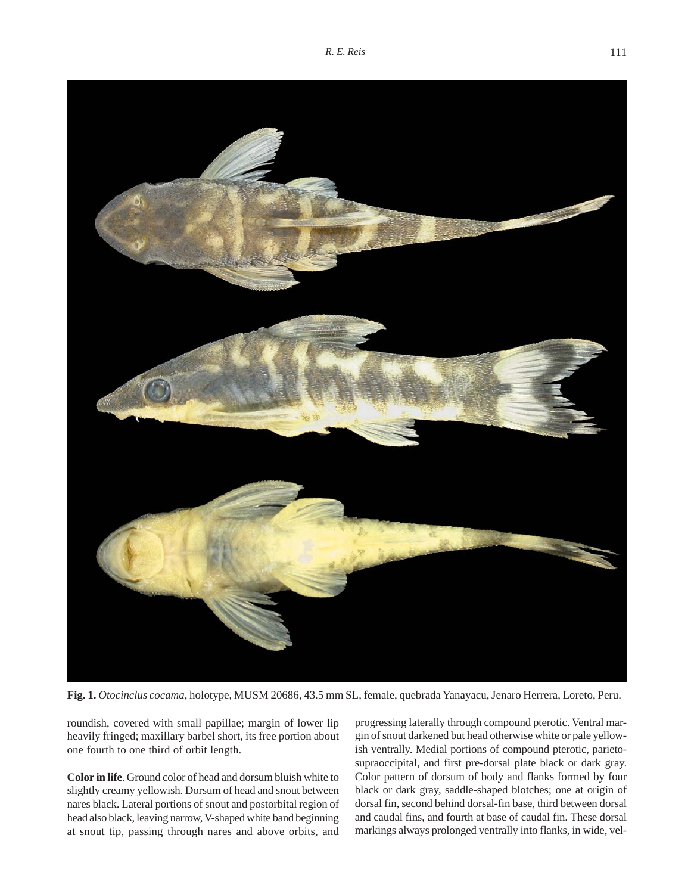

**Fig. 1.** *Otocinclus cocama*, holotype, MUSM 20686, 43.5 mm SL, female, quebrada Yanayacu, Jenaro Herrera, Loreto, Peru.

roundish, covered with small papillae; margin of lower lip heavily fringed; maxillary barbel short, its free portion about one fourth to one third of orbit length.

**Color in life**. Ground color of head and dorsum bluish white to slightly creamy yellowish. Dorsum of head and snout between nares black. Lateral portions of snout and postorbital region of head also black, leaving narrow, V-shaped white band beginning at snout tip, passing through nares and above orbits, and

progressing laterally through compound pterotic. Ventral margin of snout darkened but head otherwise white or pale yellowish ventrally. Medial portions of compound pterotic, parietosupraoccipital, and first pre-dorsal plate black or dark gray. Color pattern of dorsum of body and flanks formed by four black or dark gray, saddle-shaped blotches; one at origin of dorsal fin, second behind dorsal-fin base, third between dorsal and caudal fins, and fourth at base of caudal fin. These dorsal markings always prolonged ventrally into flanks, in wide, vel-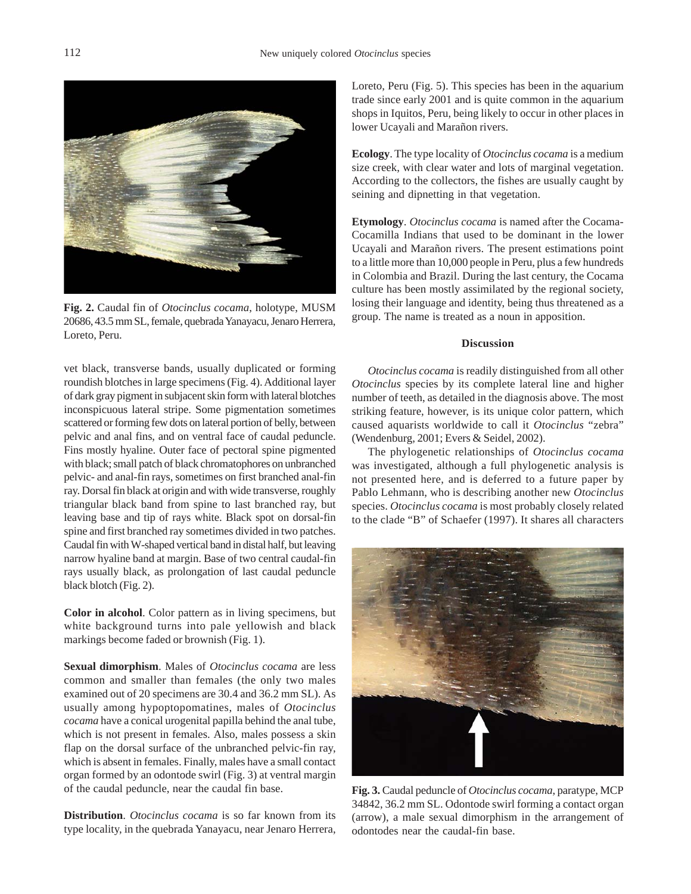

**Fig. 2.** Caudal fin of *Otocinclus cocama*, holotype, MUSM 20686, 43.5 mm SL, female, quebrada Yanayacu, Jenaro Herrera, Loreto, Peru.

**PROFIT AND THE CONSIDER CONSIDERATIVE CONSIDERATIVE CONSIDERATIVE SURFACT UNIVERSIDE UNIVERSIDE UNIVERSIDE UNIVERSIDE UNIVERSIDE UNIVERSIDE UNIVERSIDE UNIVERSIDE UNIVERSIDE UNIVERSIDE UNIVERSIDE UNIVERSIDE UNIVERSIDE UNIV** vet black, transverse bands, usually duplicated or forming roundish blotches in large specimens (Fig. 4). Additional layer of dark gray pigment in subjacent skin form with lateral blotches inconspicuous lateral stripe. Some pigmentation sometimes scattered or forming few dots on lateral portion of belly, between pelvic and anal fins, and on ventral face of caudal peduncle. Fins mostly hyaline. Outer face of pectoral spine pigmented with black; small patch of black chromatophores on unbranched pelvic- and anal-fin rays, sometimes on first branched anal-fin ray. Dorsal fin black at origin and with wide transverse, roughly triangular black band from spine to last branched ray, but leaving base and tip of rays white. Black spot on dorsal-fin spine and first branched ray sometimes divided in two patches. Caudal fin with W-shaped vertical band in distal half, but leaving narrow hyaline band at margin. Base of two central caudal-fin rays usually black, as prolongation of last caudal peduncle black blotch (Fig. 2).

**Color in alcohol**. Color pattern as in living specimens, but white background turns into pale yellowish and black markings become faded or brownish (Fig. 1).

**Sexual dimorphism**. Males of *Otocinclus cocama* are less common and smaller than females (the only two males examined out of 20 specimens are 30.4 and 36.2 mm SL). As usually among hypoptopomatines, males of *Otocinclus cocama* have a conical urogenital papilla behind the anal tube, which is not present in females. Also, males possess a skin flap on the dorsal surface of the unbranched pelvic-fin ray, which is absent in females. Finally, males have a small contact organ formed by an odontode swirl (Fig. 3) at ventral margin of the caudal peduncle, near the caudal fin base.

**Distribution**. *Otocinclus cocama* is so far known from its type locality, in the quebrada Yanayacu, near Jenaro Herrera,

Loreto, Peru (Fig. 5). This species has been in the aquarium trade since early 2001 and is quite common in the aquarium shops in Iquitos, Peru, being likely to occur in other places in lower Ucayali and Marañon rivers.

**Ecology**. The type locality of *Otocinclus cocama* is a medium size creek, with clear water and lots of marginal vegetation. According to the collectors, the fishes are usually caught by seining and dipnetting in that vegetation.

**Etymology**. *Otocinclus cocama* is named after the Cocama-Cocamilla Indians that used to be dominant in the lower Ucayali and Marañon rivers. The present estimations point to a little more than 10,000 people in Peru, plus a few hundreds in Colombia and Brazil. During the last century, the Cocama culture has been mostly assimilated by the regional society, losing their language and identity, being thus threatened as a group. The name is treated as a noun in apposition.

## **Discussion**

*Otocinclus cocama* is readily distinguished from all other *Otocinclus* species by its complete lateral line and higher number of teeth, as detailed in the diagnosis above. The most striking feature, however, is its unique color pattern, which caused aquarists worldwide to call it *Otocinclus* "zebra" (Wendenburg, 2001; Evers & Seidel, 2002).

The phylogenetic relationships of *Otocinclus cocama* was investigated, although a full phylogenetic analysis is not presented here, and is deferred to a future paper by Pablo Lehmann, who is describing another new *Otocinclus* species. *Otocinclus cocama* is most probably closely related to the clade "B" of Schaefer (1997). It shares all characters



**Fig. 3.** Caudal peduncle of *Otocinclus cocama*, paratype, MCP 34842, 36.2 mm SL. Odontode swirl forming a contact organ (arrow), a male sexual dimorphism in the arrangement of odontodes near the caudal-fin base.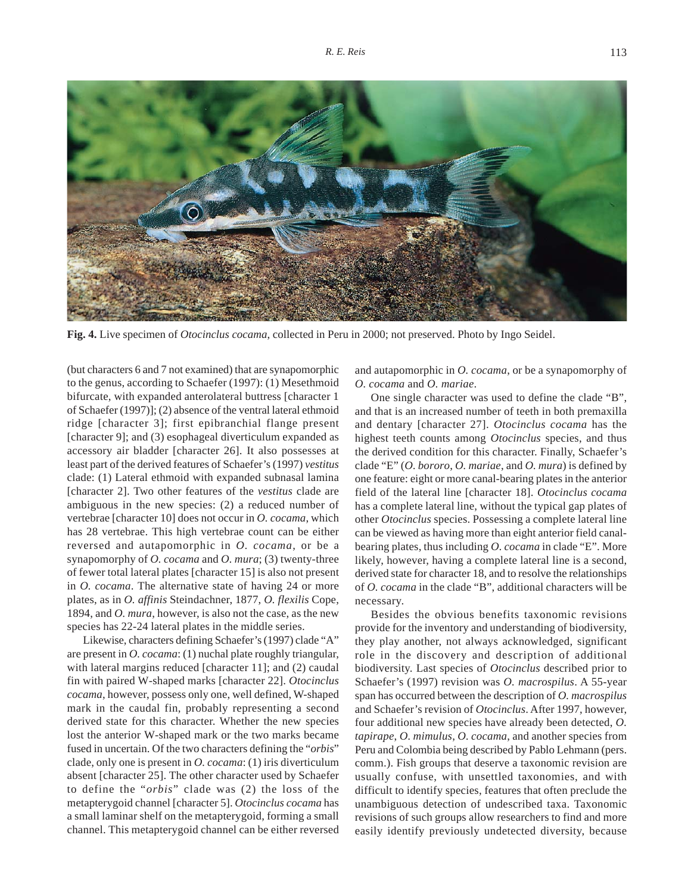

**Fig. 4.** Live specimen of *Otocinclus cocama*, collected in Peru in 2000; not preserved. Photo by Ingo Seidel.

**Exampled Example 1 PROOF**<br> **PROOF**<br> **PROOF**<br> **PROOF**<br> **PROOF**<br> **PROOF**<br> **PROOF**<br> **PROOF**<br> **PROOF**<br> **PROOF**<br> **PROOF**<br> **PROOF**<br> **PROOF**<br> **PROOF**<br> **PROOF**<br> **PROOF**<br> **PROOF**<br> **PROOF**<br> **PROOF**<br> **PROOF**<br> **PROOF**<br> **PROOF**<br> (but characters 6 and 7 not examined) that are synapomorphic to the genus, according to Schaefer (1997): (1) Mesethmoid bifurcate, with expanded anterolateral buttress [character 1 of Schaefer (1997)]; (2) absence of the ventral lateral ethmoid ridge [character 3]; first epibranchial flange present [character 9]; and (3) esophageal diverticulum expanded as accessory air bladder [character 26]. It also possesses at least part of the derived features of Schaefer's (1997) *vestitus* clade: (1) Lateral ethmoid with expanded subnasal lamina [character 2]. Two other features of the *vestitus* clade are ambiguous in the new species: (2) a reduced number of vertebrae [character 10] does not occur in *O. cocama*, which has 28 vertebrae. This high vertebrae count can be either reversed and autapomorphic in *O. cocama*, or be a synapomorphy of *O. cocama* and *O. mura*; (3) twenty-three of fewer total lateral plates [character 15] is also not present in *O. cocama*. The alternative state of having 24 or more plates, as in *O. affinis* Steindachner, 1877, *O. flexilis* Cope, 1894, and *O. mura*, however, is also not the case, as the new species has 22-24 lateral plates in the middle series.

Likewise, characters defining Schaefer's (1997) clade "A" are present in *O. cocama*: (1) nuchal plate roughly triangular, with lateral margins reduced [character 11]; and (2) caudal fin with paired W-shaped marks [character 22]. *Otocinclus cocama*, however, possess only one, well defined, W-shaped mark in the caudal fin, probably representing a second derived state for this character. Whether the new species lost the anterior W-shaped mark or the two marks became fused in uncertain. Of the two characters defining the "*orbis*" clade, only one is present in *O. cocama*: (1) iris diverticulum absent [character 25]. The other character used by Schaefer to define the "*orbis*" clade was (2) the loss of the metapterygoid channel [character 5]. *Otocinclus cocama* has a small laminar shelf on the metapterygoid, forming a small channel. This metapterygoid channel can be either reversed

and autapomorphic in *O. cocama*, or be a synapomorphy of *O. cocama* and *O. mariae*.

One single character was used to define the clade "B", and that is an increased number of teeth in both premaxilla and dentary [character 27]. *Otocinclus cocama* has the highest teeth counts among *Otocinclus* species, and thus the derived condition for this character. Finally, Schaefer's clade "E" (*O. bororo*, *O. mariae*, and *O. mura*) is defined by one feature: eight or more canal-bearing plates in the anterior field of the lateral line [character 18]. *Otocinclus cocama* has a complete lateral line, without the typical gap plates of other *Otocinclus* species. Possessing a complete lateral line can be viewed as having more than eight anterior field canalbearing plates, thus including *O. cocama* in clade "E". More likely, however, having a complete lateral line is a second, derived state for character 18, and to resolve the relationships of *O. cocama* in the clade "B", additional characters will be necessary.

Besides the obvious benefits taxonomic revisions provide for the inventory and understanding of biodiversity, they play another, not always acknowledged, significant role in the discovery and description of additional biodiversity. Last species of *Otocinclus* described prior to Schaefer's (1997) revision was *O. macrospilus*. A 55-year span has occurred between the description of *O. macrospilus* and Schaefer's revision of *Otocinclus*. After 1997, however, four additional new species have already been detected, *O. tapirape*, *O. mimulus*, *O. cocama*, and another species from Peru and Colombia being described by Pablo Lehmann (pers. comm.). Fish groups that deserve a taxonomic revision are usually confuse, with unsettled taxonomies, and with difficult to identify species, features that often preclude the unambiguous detection of undescribed taxa. Taxonomic revisions of such groups allow researchers to find and more easily identify previously undetected diversity, because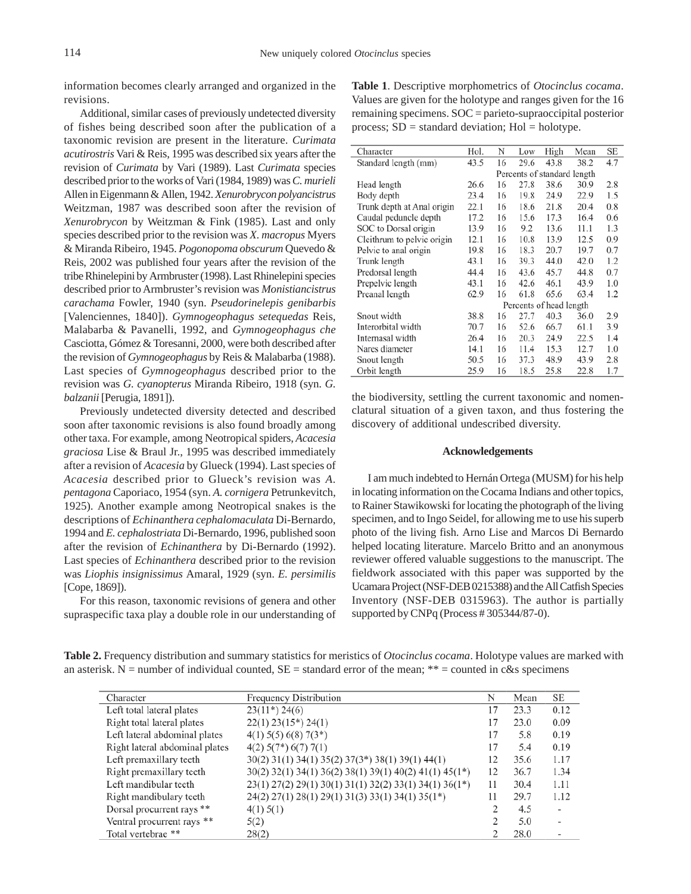information becomes clearly arranged and organized in the revisions.

Additional, similar cases of previously undetected diversity of fishes being described soon after the publication of a taxonomic revision are present in the literature. *Curimata acutirostris* Vari & Reis, 1995 was described six years after the revision of *Curimata* by Vari (1989). Last *Curimata* species described prior to the works of Vari (1984, 1989) was *C. murieli* Allen in Eigenmann & Allen, 1942. *Xenurobrycon polyancistrus* Weitzman, 1987 was described soon after the revision of *Xenurobrycon* by Weitzman & Fink (1985). Last and only species described prior to the revision was *X*. *macropus* Myers & Miranda Ribeiro, 1945. *Pogonopoma obscurum* Quevedo & Reis, 2002 was published four years after the revision of the tribe Rhinelepini by Armbruster (1998). Last Rhinelepini species described prior to Armbruster's revision was *Monistiancistrus carachama* Fowler, 1940 (syn. *Pseudorinelepis genibarbis* [Valenciennes, 1840]). *Gymnogeophagus setequedas* Reis, Malabarba & Pavanelli, 1992, and *Gymnogeophagus che* Casciotta, Gómez & Toresanni, 2000, were both described after the revision of *Gymnogeophagus* by Reis & Malabarba (1988). Last species of *Gymnogeophagus* described prior to the revision was *G. cyanopterus* Miranda Ribeiro, 1918 (syn. *G. balzanii* [Perugia, 1891]).

Frequence and Experimental Preplevic length and the same of the section was *Monistancistrus*<br>
Presevision was *Monistancistrus*<br>
Presevision was *Monistancistrus*<br>
Presevision was *Monistancistrus*<br>
Presevision and Gymnog Previously undetected diversity detected and described soon after taxonomic revisions is also found broadly among other taxa. For example, among Neotropical spiders, *Acacesia graciosa* Lise & Braul Jr., 1995 was described immediately after a revision of *Acacesia* by Glueck (1994). Last species of *Acacesia* described prior to Glueck's revision was *A. pentagona* Caporiaco, 1954 (syn. *A. cornigera* Petrunkevitch, 1925). Another example among Neotropical snakes is the descriptions of *Echinanthera cephalomaculata* Di-Bernardo, 1994 and *E. cephalostriata* Di-Bernardo, 1996, published soon after the revision of *Echinanthera* by Di-Bernardo (1992). Last species of *Echinanthera* described prior to the revision was *Liophis insignissimus* Amaral, 1929 (syn. *E. persimilis* [Cope, 1869]).

For this reason, taxonomic revisions of genera and other supraspecific taxa play a double role in our understanding of

**Table 1**. Descriptive morphometrics of *Otocinclus cocama*. Values are given for the holotype and ranges given for the 16 remaining specimens. SOC = parieto-supraoccipital posterior process;  $SD =$  standard deviation;  $Hol =$  holotype.

| Character                  | Hol. | N                           | Low  | High | Mean | SЕ  |
|----------------------------|------|-----------------------------|------|------|------|-----|
| Standard length (mm)       | 43.5 | 16                          | 29.6 | 43.8 | 38.2 | 4.7 |
|                            |      | Percents of standard length |      |      |      |     |
| Head length                | 26.6 | 16                          | 27.8 | 38.6 | 30.9 | 2.8 |
| Body depth                 | 23.4 | 16                          | 19.8 | 24.9 | 22.9 | 1.5 |
| Trunk depth at Anal origin | 22.1 | 16                          | 18.6 | 21.8 | 20.4 | 0.8 |
| Caudal peduncle depth      | 17.2 | 16                          | 15.6 | 17.3 | 16.4 | 0.6 |
| SOC to Dorsal origin       | 13.9 | 16                          | 9.2  | 13.6 | 11.1 | 1.3 |
| Cleithrum to pelvic origin | 12.1 | 16                          | 10.8 | 13.9 | 12.5 | 0.9 |
| Pelvic to anal origin      | 19.8 | 16                          | 18.3 | 20.7 | 19.7 | 0.7 |
| Trunk length               | 43.1 | 16                          | 39.3 | 44.0 | 42.0 | 1.2 |
| Predorsal length           | 44.4 | 16                          | 43.6 | 45.7 | 44.8 | 0.7 |
| Prepelvic length           | 43.1 | 16                          | 42.6 | 46.1 | 43.9 | 1.0 |
| Preanal length             | 62.9 | 16                          | 61.8 | 65.6 | 63.4 | 1.2 |
|                            |      | Percents of head length     |      |      |      |     |
| Snout width                | 38.8 | 16                          | 27.7 | 40.3 | 36.0 | 2.9 |
| Interorbital width         | 70.7 | 16                          | 52.6 | 66.7 | 61.1 | 3.9 |
| Internasal width           | 26.4 | 16                          | 20.3 | 24.9 | 22.5 | 1.4 |
| Nares diameter             | 14.1 | 16                          | 11.4 | 15.3 | 12.7 | 1.0 |
| Snout length               | 50.5 | 16                          | 37.3 | 48.9 | 43.9 | 2.8 |
| Orbit length               | 25.9 | 16                          | 18.5 | 25.8 | 22.8 | 1.7 |
|                            |      |                             |      |      |      |     |

the biodiversity, settling the current taxonomic and nomenclatural situation of a given taxon, and thus fostering the discovery of additional undescribed diversity.

### **Acknowledgements**

I am much indebted to Hernán Ortega (MUSM) for his help in locating information on the Cocama Indians and other topics, to Rainer Stawikowski for locating the photograph of the living specimen, and to Ingo Seidel, for allowing me to use his superb photo of the living fish. Arno Lise and Marcos Di Bernardo helped locating literature. Marcelo Britto and an anonymous reviewer offered valuable suggestions to the manuscript. The fieldwork associated with this paper was supported by the Ucamara Project (NSF-DEB 0215388) and the All Catfish Species Inventory (NSF-DEB 0315963). The author is partially supported by CNPq (Process # 305344/87-0).

**Table 2.** Frequency distribution and summary statistics for meristics of *Otocinclus cocama*. Holotype values are marked with an asterisk. N = number of individual counted,  $SE =$  standard error of the mean; \*\* = counted in c&s specimens

| Character                      | Frequency Distribution                                 |    | Mean | SЕ                       |
|--------------------------------|--------------------------------------------------------|----|------|--------------------------|
| Left total lateral plates      | $23(11*)$ 24(6)                                        | 17 | 23.3 | 0.12                     |
| Right total lateral plates     | $22(1)$ $23(15*)$ $24(1)$                              | 17 | 23.0 | 0.09                     |
| Left lateral abdominal plates  | $4(1) 5(5) 6(8) 7(3*)$                                 | 17 | 5.8  | 0.19                     |
| Right lateral abdominal plates | $4(2)$ 5(7*) 6(7) 7(1)                                 | 17 | 5.4  | 0.19                     |
| Left premaxillary teeth        | 30(2) 31(1) 34(1) 35(2) 37(3*) 38(1) 39(1) 44(1)       | 12 | 35.6 | 1.17                     |
| Right premaxillary teeth       | 30(2) 32(1) 34(1) 36(2) 38(1) 39(1) 40(2) 41(1) 45(1*) | 12 | 36.7 | 1.34                     |
| Left mandibular teeth          | 23(1) 27(2) 29(1) 30(1) 31(1) 32(2) 33(1) 34(1) 36(1*) | 11 | 30.4 | 1.11                     |
| Right mandibulary teeth        | 24(2) 27(1) 28(1) 29(1) 31(3) 33(1) 34(1) 35(1*)       | 11 | 29.7 | 1.12                     |
| Dorsal procurrent rays **      | $4(1)$ 5(1)                                            | 2  | 4.5  | $\overline{\phantom{a}}$ |
| Ventral procurrent rays **     | 5(2)                                                   | 2  | 5.0  |                          |
| Total vertebrae **             | 28(2)                                                  |    | 28.0 | $\overline{\phantom{a}}$ |